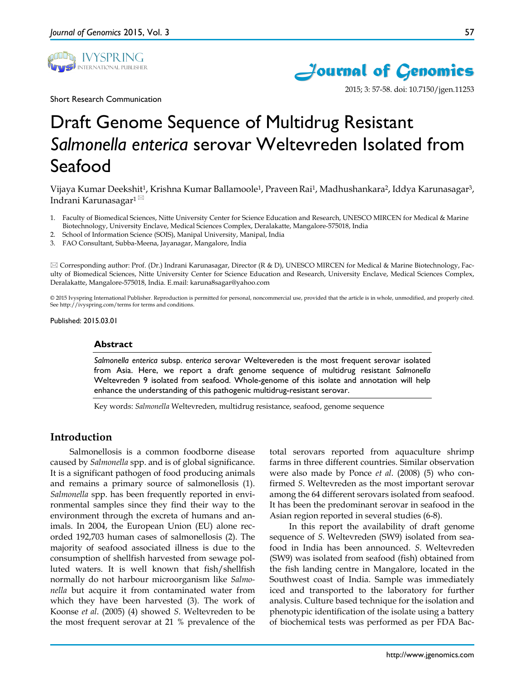



2015; 3: 57-58. doi: 10.7150/jgen.11253

Short Research Communication

# Draft Genome Sequence of Multidrug Resistant *Salmonella enterica* serovar Weltevreden Isolated from Seafood

Vijaya Kumar Deekshit1, Krishna Kumar Ballamoole1, PraveenRai1, Madhushankara2, Iddya Karunasagar3, Indrani Karunasagar<sup>1⊠</sup>

- 1. Faculty of Biomedical Sciences, Nitte University Center for Science Education and Research, UNESCO MIRCEN for Medical & Marine Biotechnology, University Enclave, Medical Sciences Complex, Deralakatte, Mangalore-575018, India
- 2. School of Information Science (SOIS), Manipal University, Manipal, India
- 3. FAO Consultant, Subba-Meena, Jayanagar, Mangalore, India

 $\boxtimes$  Corresponding author: Prof. (Dr.) Indrani Karunasagar, Director (R & D), UNESCO MIRCEN for Medical & Marine Biotechnology, Faculty of Biomedical Sciences, Nitte University Center for Science Education and Research, University Enclave, Medical Sciences Complex, Deralakatte, Mangalore-575018, India. E.mail: karuna8sagar@yahoo.com

© 2015 Ivyspring International Publisher. Reproduction is permitted for personal, noncommercial use, provided that the article is in whole, unmodified, and properly cited. See http://ivyspring.com/terms for terms and conditions.

Published: 2015.03.01

#### **Abstract**

*Salmonella enterica* subsp. *enterica* serovar Weltevereden is the most frequent serovar isolated from Asia. Here, we report a draft genome sequence of multidrug resistant *Salmonella* Weltevreden 9 isolated from seafood. Whole-genome of this isolate and annotation will help enhance the understanding of this pathogenic multidrug-resistant serovar.

Key words: *Salmonella* Weltevreden, multidrug resistance, seafood, genome sequence

# **Introduction**

Salmonellosis is a common foodborne disease caused by *Salmonella* spp. and is of global significance. It is a significant pathogen of food producing animals and remains a primary source of salmonellosis (1). *Salmonella* spp. has been frequently reported in environmental samples since they find their way to the environment through the excreta of humans and animals. In 2004, the European Union (EU) alone recorded 192,703 human cases of salmonellosis (2). The majority of seafood associated illness is due to the consumption of shellfish harvested from sewage polluted waters. It is well known that fish/shellfish normally do not harbour microorganism like *Salmonella* but acquire it from contaminated water from which they have been harvested (3). The work of Koonse *et al*. (2005) (4) showed *S*. Weltevreden to be the most frequent serovar at 21 % prevalence of the

total serovars reported from aquaculture shrimp farms in three different countries. Similar observation were also made by Ponce *et al*. (2008) (5) who confirmed *S*. Weltevreden as the most important serovar among the 64 different serovars isolated from seafood. It has been the predominant serovar in seafood in the Asian region reported in several studies (6-8).

In this report the availability of draft genome sequence of *S.* Weltevreden (SW9) isolated from seafood in India has been announced. *S.* Weltevreden (SW9) was isolated from seafood (fish) obtained from the fish landing centre in Mangalore, located in the Southwest coast of India. Sample was immediately iced and transported to the laboratory for further analysis. Culture based technique for the isolation and phenotypic identification of the isolate using a battery of biochemical tests was performed as per FDA Bac